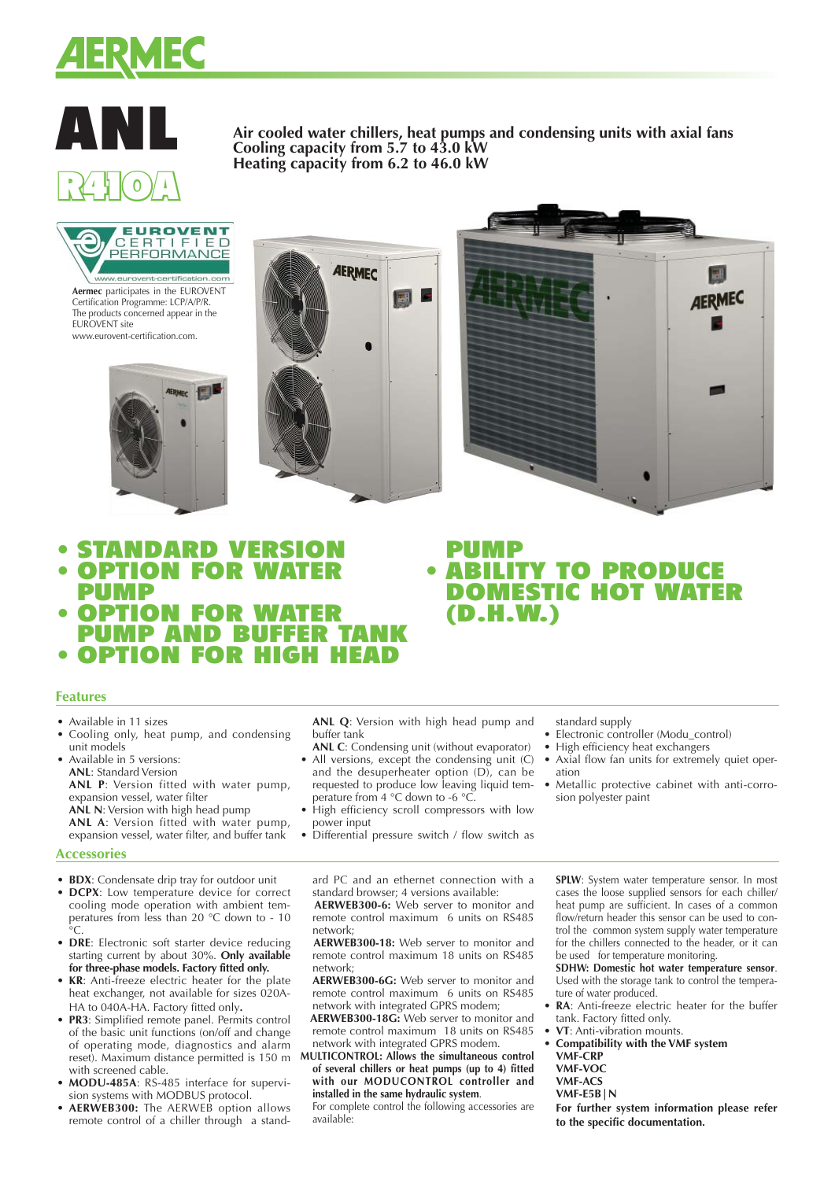

# ANL R410A

**Air cooled water chillers, heat pumps and condensing units with axial fans Cooling capacity from 5.7 to 43.0 kW Heating capacity from 6.2 to 46.0 kW**

PUMP

(D.H.W.)



**Aermec** participates in the EUROVENT Certification Programme: LCP/A/P/R. The products concerned appear in the EUROVENT site www.eurovent-certification.com.







- STANDARD VERSION  $\bullet$  Option for wat
- PUMP
- OPTION FOR WATER **PUMP AND BUFFER TAI**
- OPTION FOR HIGH HEAD

## **Features**

- Available in 11 sizes
- Cooling only, heat pump, and condensing unit models
- Available in 5 versions: **ANL**: Standard Version **ANL P**: Version fitted with water pump,
- expansion vessel, water filter **ANL N**: Version with high head pump

**ANL A**: Version fitted with water pump, expansion vessel, water filter, and buffer tank

## **Accessories**

- **BDX**: Condensate drip tray for outdoor unit • **DCPX**: Low temperature device for correct cooling mode operation with ambient temperatures from less than 20 °C down to - 10  $\circ$
- **DRE**: Electronic soft starter device reducing starting current by about 30%. **Only available for three-phase models. Factory fitted only.**
- **KR**: Anti-freeze electric heater for the plate heat exchanger, not available for sizes 020A-HA to 040A-HA. Factory fitted only**.**
- **PR3**: Simplified remote panel. Permits control of the basic unit functions (on/off and change of operating mode, diagnostics and alarm with screened cable.
- **MODU-485A**: RS-485 interface for supervision systems with MODBUS protocol.
- **AERWEB300:** The AERWEB option allows remote control of a chiller through a stand-

**ANL Q**: Version with high head pump and buffer tank

- **ANL C**: Condensing unit (without evaporator) • All versions, except the condensing unit (C) and the desuperheater option (D), can be requested to produce low leaving liquid temperature from 4 °C down to -6 °C.
- High efficiency scroll compressors with low power input
- Differential pressure switch / flow switch as

ard PC and an ethernet connection with a

standard browser; 4 versions available:  **AERWEB300-6:** Web server to monitor and remote control maximum 6 units on RS485 network;

 **AERWEB300-18:** Web server to monitor and remote control maximum 18 units on RS485 network;

 **AERWEB300-6G:** Web server to monitor and remote control maximum 6 units on RS485 network with integrated GPRS modem;

 **AERWEB300-18G:** Web server to monitor and remote control maximum 18 units on RS485 network with integrated GPRS modem.

reset). Maximum distance permitted is 150 m **MULTICONTROL: Allows the simultaneous control of several chillers or heat pumps (up to 4) fitted with our MODUCONTROL controller and installed in the same hydraulic system**.

 For complete control the following accessories are available:

standard supply

• ABILITY TO PRODUCE DOMESTIC HOT WATER

- Electronic controller (Modu\_control)
- High efficiency heat exchangers
- Axial flow fan units for extremely quiet operation
- Metallic protective cabinet with anti-corrosion polyester paint

**SPLW**: System water temperature sensor. In most cases the loose supplied sensors for each chiller/ heat pump are sufficient. In cases of a common flow/return header this sensor can be used to control the common system supply water temperature for the chillers connected to the header, or it can be used for temperature monitoring.

**SDHW: Domestic hot water temperature sensor**. Used with the storage tank to control the temperature of water produced.

- **RA:** Anti-freeze electric heater for the buffer tank. Factory fitted only.
- **VT**: Anti-vibration mounts.
- **Compatibility with the VMF system VMF-CRP**
	- **VMF-VOC**
	- **VMF-ACS**

 **VMF-E5B|N**

 **For further system information please refer to the specific documentation.**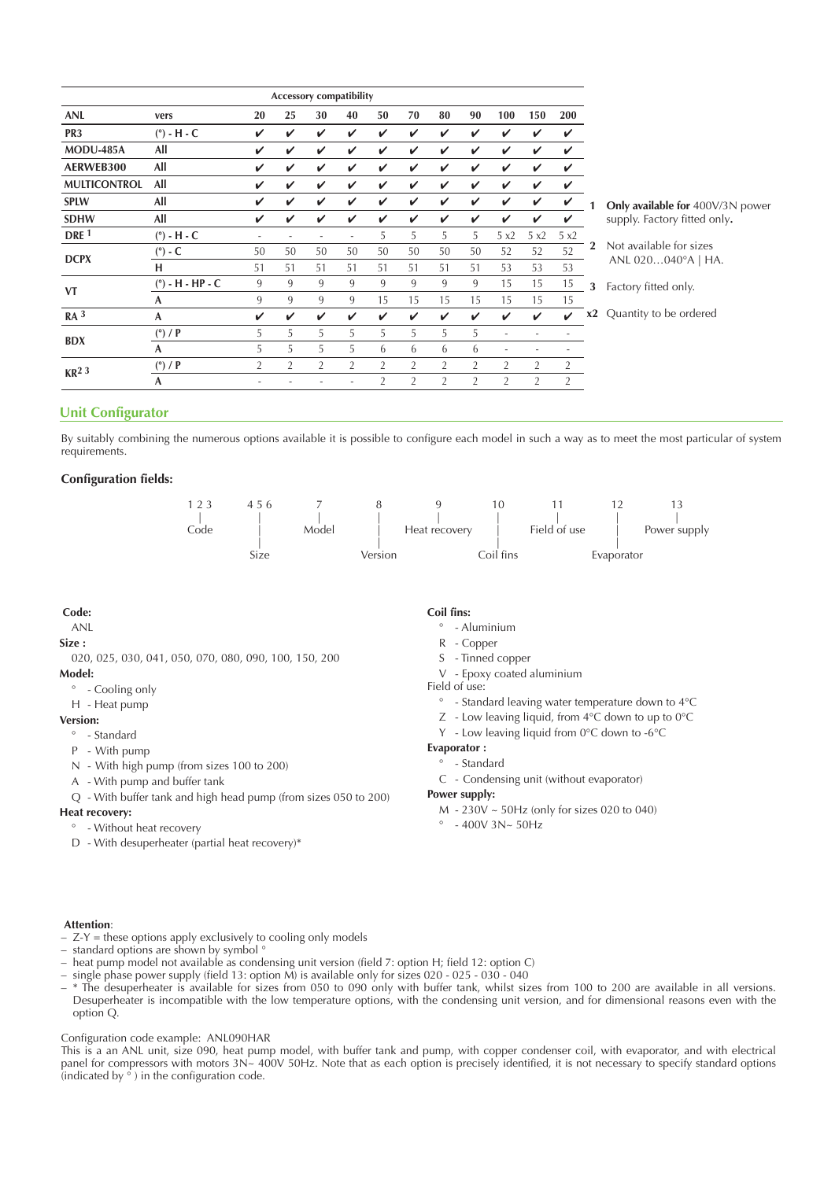|                     |                    |                |                |                | Accessory compatibility |                |                |                |                |                |                |                            |                |
|---------------------|--------------------|----------------|----------------|----------------|-------------------------|----------------|----------------|----------------|----------------|----------------|----------------|----------------------------|----------------|
| <b>ANL</b>          | vers               | 20             | 25             | 30             | 40                      | 50             | 70             | 80             | 90             | 100            | 150            | 200                        |                |
| PR <sub>3</sub>     | $(°)$ - H - C      | V              | V              | V              | V                       | V              | V              | V              | V              | V              | ✓              | ✓                          |                |
| MODU-485A           | All                | V              | V              | V              | V                       | V              | V              | V              | V              | V              | V              | V                          |                |
| AERWEB300           | All                | V              | V              | V              | V                       | V              | V              | V              | V              | V              | V              | ✓                          |                |
| <b>MULTICONTROL</b> | All                | V              | V              | V              | V                       | V              | V              | V              | V              | V              | V              | ✓                          |                |
| <b>SPLW</b>         | All                | V              | V              | V              | V                       | V              | $\checkmark$   | V              | V              | V              | V              | $\checkmark$               |                |
| <b>SDHW</b>         | All                | V              | V              | V              | V                       | V              | V              | V              | V              | V              | V              | $\checkmark$               |                |
| DRE <sup>1</sup>    | $(°)$ - H - C      | ۰              | ٠              | ٠              | ٠                       | 5              | 5              | 5              | 5              | 5 x2           | 5x2            | 5 x2                       |                |
| <b>DCPX</b>         | $(°)$ - C          | 50             | 50             | 50             | 50                      | 50             | 50             | 50             | 50             | 52             | 52             | 52                         | $\overline{2}$ |
|                     | н                  | 51             | 51             | 51             | 51                      | 51             | 51             | 51             | 51             | 53             | 53             | 53                         |                |
| <b>VT</b>           | $(°)$ - H - HP - C | 9              | 9              | $\mathbf{q}$   | 9                       | 9              | 9              | 9              | 9              | 15             | 15             | 15                         | 3              |
|                     | A                  | 9              | 9              | 9              | 9                       | 15             | 15             | 15             | 15             | 15             | 15             | 15                         |                |
| RA <sup>3</sup>     | A                  | V              | V              | V              | V                       | V              | V              | V              | V              | V              | V              | $\boldsymbol{\mathcal{U}}$ | X.             |
| <b>BDX</b>          | (°) / P            | 5              | 5              | 5              | 5                       | 5              | 5              | 5              | 5              | ٠              |                |                            |                |
|                     | A                  | 5              | 5              | 5              | 5                       | 6              | 6              | 6              | 6              | ٠              |                |                            |                |
| KR <sup>2</sup> 3   | (°) / P            | $\overline{2}$ | $\overline{2}$ | $\overline{2}$ | $\overline{2}$          | $\overline{2}$ | $\overline{2}$ | $\overline{2}$ | $\overline{2}$ | $\overline{2}$ | $\overline{2}$ | $\overline{2}$             |                |
|                     | A                  |                |                |                |                         | $\overline{2}$ | $\overline{2}$ | $\overline{2}$ | $\overline{2}$ | $\overline{2}$ | $\overline{2}$ | $\overline{2}$             |                |

**1 Only available for** 400V/3N power supply. Factory fitted only**.**

**2** Not available for sizes ANL 020…040°A | HA.

**3** Factory fitted only.

**x2** Quantity to be ordered

# **Unit Configurator**

By suitably combining the numerous options available it is possible to configure each model in such a way as to meet the most particular of system requirements.

#### **Configuration fields:**



#### **Code:**

## ANL

#### **Size :**

020, 025, 030, 041, 050, 070, 080, 090, 100, 150, 200

## **Model:**

- Cooling only
- H Heat pump

# **Version:**

- ° Standard
- P With pump
- N With high pump (from sizes 100 to 200)
- A With pump and buffer tank
- Q With buffer tank and high head pump (from sizes 050 to 200)

# **Heat recovery:**

- ° Without heat recovery
- D With desuperheater (partial heat recovery)\*

## **Coil fins:**

- ° Aluminium
- R Copper
- S Tinned copper
- V Epoxy coated aluminium

#### Field of use:

- ° Standard leaving water temperature down to 4°C
- Z Low leaving liquid, from 4°C down to up to 0°C
- Y Low leaving liquid from 0°C down to -6°C

# **Evaporator :**

- ° Standard
- C Condensing unit (without evaporator)

## **Power supply:**

- M 230V ~ 50Hz (only for sizes 020 to 040)
- $^{\circ}$  400V 3N~ 50Hz

#### **Attention**:

- Z-Y = these options apply exclusively to cooling only models
- $-$  standard options are shown by symbol  $\infty$ <br> $-$  beat nump model not available as conditions.
- heat pump model not available as condensing unit version (field 7: option H; field 12: option C)
- single phase power supply (field 13: option M) is available only for sizes 020 025 030 040
- \* The desuperheater is available for sizes from 050 to 090 only with buffer tank, whilst sizes from 100 to 200 are available in all versions. Desuperheater is incompatible with the low temperature options, with the condensing unit version, and for dimensional reasons even with the option Q.

## Configuration code example: ANL090HAR

This is a an ANL unit, size 090, heat pump model, with buffer tank and pump, with copper condenser coil, with evaporator, and with electrical panel for compressors with motors 3N~ 400V 50Hz. Note that as each option is precisely identified, it is not necessary to specify standard options (indicated by  $\circ$ ) in the configuration code.

- 
- - -
		-

- -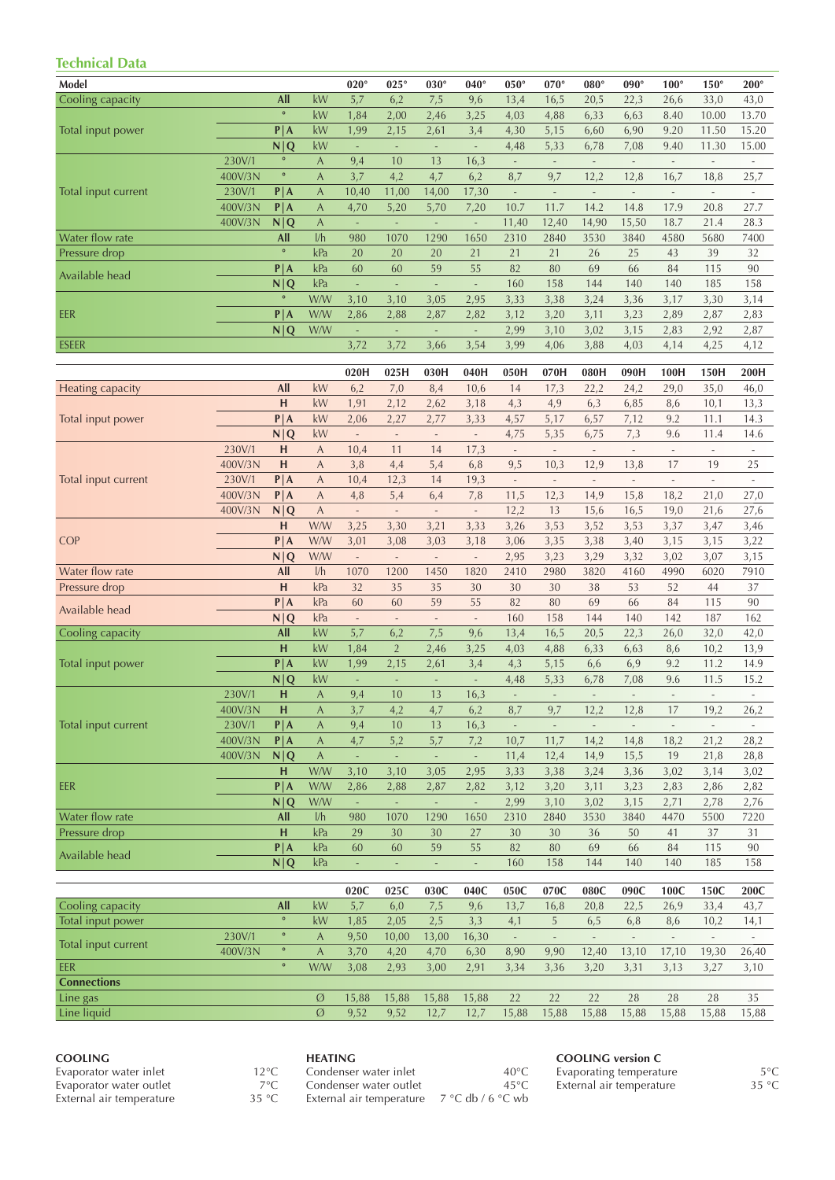# **Technical Data**

| iechnical Dala      |         |           |                |                             |                             |                          |                          |                          |                              |                          |                          |                          |                          |                          |
|---------------------|---------|-----------|----------------|-----------------------------|-----------------------------|--------------------------|--------------------------|--------------------------|------------------------------|--------------------------|--------------------------|--------------------------|--------------------------|--------------------------|
| Model               |         |           |                | $020^\circ$                 | $025^\circ$                 | $030^\circ$              | $040^\circ$              | $050^\circ$              | $070^\circ$                  | $080^\circ$              | $090^\circ$              | $100^\circ$              | $150^\circ$              | $200^\circ$              |
| Cooling capacity    |         | All       | kW             | 5,7                         | 6,2                         | 7,5                      | 9,6                      | 13,4                     | 16,5                         | 20,5                     | 22,3                     | 26,6                     | 33,0                     | 43,0                     |
|                     |         | $\circ$   | kW             | 1,84                        | 2,00                        | 2,46                     | 3,25                     | 4,03                     | 4,88                         | 6,33                     | 6,63                     | 8.40                     | 10.00                    | 13.70                    |
| Total input power   |         | $P$  A    | kW             | 1,99                        | 2,15                        | 2,61                     | 3,4                      | 4,30                     | 5,15                         | 6,60                     | 6,90                     | 9.20                     | 11.50                    | 15.20                    |
|                     |         | N Q       | kW             | $\blacksquare$              | $\mathcal{L}$               | ÷,                       | ÷,                       | 4,48                     | 5,33                         | 6,78                     | 7,08                     | 9.40                     | 11.30                    | 15.00                    |
|                     | 230V/1  | $\circ$   | A              | 9,4                         | 10                          | 13                       | 16,3                     | $\mathcal{L}$            | $\mathbb{Z}$                 | $\overline{\phantom{a}}$ | $\mathcal{L}$            | $\overline{\phantom{a}}$ | $\overline{\phantom{a}}$ | $\overline{\phantom{a}}$ |
|                     |         | $\circ$   |                |                             |                             |                          |                          |                          |                              |                          |                          |                          |                          |                          |
|                     | 400V/3N |           | A              | 3,7                         | 4,2                         | 4,7                      | 6,2                      | 8,7                      | 9,7                          | 12,2                     | 12,8                     | 16,7                     | 18,8                     | 25,7                     |
| Total input current | 230V/1  | P A       | A              | 10,40                       | 11,00                       | 14,00                    | 17,30                    | $\overline{\phantom{a}}$ | $\overline{\phantom{a}}$     | $\overline{\phantom{a}}$ | $\overline{\phantom{a}}$ | $\overline{\phantom{a}}$ | $\mathcal{L}$            |                          |
|                     | 400V/3N | P A       | A              | 4,70                        | 5,20                        | 5,70                     | 7,20                     | 10.7                     | 11.7                         | 14.2                     | 14.8                     | 17.9                     | 20.8                     | 27.7                     |
|                     | 400V/3N | N Q       | A              | $\overline{\phantom{a}}$    | $\overline{\phantom{a}}$    | $\overline{\phantom{a}}$ | $\overline{\phantom{a}}$ | 11,40                    | 12,40                        | 14,90                    | 15,50                    | 18.7                     | 21.4                     | 28.3                     |
| Water flow rate     |         | All       | 1/h            | 980                         | 1070                        | 1290                     | 1650                     | 2310                     | 2840                         | 3530                     | 3840                     | 4580                     | 5680                     | 7400                     |
| Pressure drop       |         | $\circ$   | kPa            | 20                          | 20                          | 20                       | 21                       | 21                       | 21                           | 26                       | 25                       | 43                       | 39                       | 32                       |
| Available head      |         | P A       | kPa            | 60                          | 60                          | 59                       | 55                       | 82                       | 80                           | 69                       | 66                       | 84                       | 115                      | 90                       |
|                     |         | N Q       | kPa            | ÷,                          | ÷,                          | $\overline{\phantom{a}}$ | $\overline{\phantom{a}}$ | 160                      | 158                          | 144                      | 140                      | 140                      | 185                      | 158                      |
|                     |         | $\circ$   | W/W            | 3,10                        | 3,10                        | 3,05                     | 2,95                     | 3,33                     | 3,38                         | 3,24                     | 3,36                     | 3,17                     | 3,30                     | 3,14                     |
| EER                 |         | P A       | W/W            | 2,86                        | 2,88                        | 2,87                     | 2,82                     | 3,12                     | 3,20                         | 3,11                     | 3,23                     | 2,89                     | 2,87                     | 2,83                     |
|                     |         | N Q       | W/W            | $\mathcal{L}$               | ä,                          | $\Box$                   | $\bar{\phantom{a}}$      | 2,99                     | 3,10                         | 3,02                     | 3,15                     | 2,83                     | 2,92                     | 2,87                     |
| <b>ESEER</b>        |         |           |                | 3,72                        | 3,72                        | 3,66                     | 3,54                     | 3,99                     | 4,06                         | 3,88                     | 4,03                     | 4,14                     | 4,25                     | 4,12                     |
|                     |         |           |                |                             |                             |                          |                          |                          |                              |                          |                          |                          |                          |                          |
|                     |         |           |                | 020H                        | 025H                        | 030H                     | 040H                     | 050H                     | 070H                         | 080H                     | 090H                     | 100H                     | 150H                     | 200H                     |
| Heating capacity    |         | All       | kW             | 6,2                         | 7,0                         | 8,4                      | 10,6                     | 14                       | 17,3                         | 22,2                     | 24,2                     | 29,0                     | 35,0                     | 46,0                     |
|                     |         | H         | kW             | 1,91                        | 2,12                        | 2,62                     | 3,18                     | 4,3                      | 4,9                          | 6,3                      | 6,85                     | 8,6                      | 10,1                     | 13,3                     |
| Total input power   |         | P A       | kW             | 2,06                        | 2,27                        | 2,77                     | 3,33                     | 4,57                     | 5,17                         | 6,57                     | 7,12                     | 9.2                      | 11.1                     | 14.3                     |
|                     |         | N Q       | kW             | $\mathcal{L}_{\mathcal{A}}$ | $\overline{\phantom{a}}$    | $\overline{\phantom{a}}$ | $\overline{\phantom{a}}$ | 4,75                     | 5,35                         | 6,75                     | 7,3                      | 9.6                      | 11.4                     | 14.6                     |
|                     | 230V/1  | н         | A              | 10,4                        | 11                          | 14                       | 17,3                     | $\overline{\phantom{a}}$ | $\qquad \qquad \blacksquare$ |                          |                          | $\overline{\phantom{a}}$ |                          |                          |
| Total input current | 400V/3N | н         | $\overline{A}$ | 3,8                         | 4,4                         | 5,4                      | 6,8                      | 9,5                      | 10,3                         | 12,9                     | 13,8                     | 17                       | 19                       | 25                       |
|                     | 230V/1  | $P$  A    | A              | 10,4                        | 12,3                        | 14                       | 19,3                     | $\sim$                   | $\sim$                       | $\bar{z}$                | $\overline{\phantom{a}}$ | $\overline{\phantom{a}}$ | $\overline{\phantom{a}}$ | $\overline{\phantom{a}}$ |
|                     | 400V/3N | P A       | A              | 4,8                         | 5,4                         | 6,4                      | 7,8                      | 11,5                     | 12,3                         | 14,9                     | 15,8                     | 18,2                     | 21,0                     | 27,0                     |
|                     | 400V/3N | N Q       | $\mathsf{A}$   | $\overline{\phantom{a}}$    | ÷,                          | $\overline{\phantom{a}}$ | $\overline{\phantom{a}}$ | 12,2                     | 13                           | 15,6                     | 16,5                     | 19,0                     | 21,6                     | 27,6                     |
|                     |         | н         | W/W            | 3,25                        | 3,30                        | 3,21                     | 3,33                     | 3,26                     | 3,53                         | 3,52                     | 3,53                     | 3,37                     | 3,47                     | 3,46                     |
| <b>COP</b>          |         | $P$  A    | W/W            | 3,01                        | 3,08                        | 3,03                     | 3,18                     | 3,06                     | 3,35                         | 3,38                     | 3,40                     | 3,15                     | 3,15                     | 3,22                     |
|                     |         | N Q       | W/W            | $\overline{\phantom{a}}$    | $\mathcal{L}_{\mathcal{A}}$ | $\overline{\phantom{a}}$ | $\overline{\phantom{a}}$ | 2,95                     | 3,23                         | 3,29                     | 3,32                     | 3,02                     | 3,07                     | 3,15                     |
| Water flow rate     |         | All       | 1/h            | 1070                        | 1200                        | 1450                     | 1820                     | 2410                     | 2980                         | 3820                     | 4160                     | 4990                     | 6020                     | 7910                     |
| Pressure drop       |         | H         | kPa            | 32                          | 35                          | 35                       | 30                       | 30                       | 30                           | 38                       | 53                       | 52                       | 44                       | 37                       |
|                     |         | P A       | kPa            | 60                          | 60                          | 59                       | 55                       | 82                       | 80                           | 69                       | 66                       | 84                       | 115                      | 90                       |
| Available head      |         | N Q       | kPa            | $\overline{\phantom{a}}$    | $\overline{\phantom{a}}$    | $\overline{\phantom{a}}$ | $\overline{\phantom{a}}$ | 160                      | 158                          | 144                      | 140                      | 142                      | 187                      | 162                      |
| Cooling capacity    |         | All       | kW             | 5,7                         | 6,2                         | 7,5                      | 9,6                      | 13,4                     | 16,5                         | 20,5                     | 22,3                     | 26,0                     | 32,0                     | 42,0                     |
|                     |         | н         | kW             | 1,84                        | $\overline{2}$              | 2,46                     | 3,25                     | 4,03                     | 4,88                         | 6,33                     | 6,63                     | 8,6                      | 10,2                     | 13,9                     |
| Total input power   |         | $P$  A    | kW             | 1,99                        | 2,15                        | 2,61                     | 3,4                      | 4,3                      | 5,15                         | 6,6                      | 6,9                      | 9.2                      | 11.2                     | 14.9                     |
|                     |         | N Q       | kW             | ÷,                          | ä,                          | ÷,                       | $\sim$                   | 4,48                     | 5,33                         | 6,78                     | 7,08                     | 9.6                      | 11.5                     | 15.2                     |
|                     | 230V/1  | H         | $\mathsf{A}$   | 9,4                         | 10                          | 13                       | 16,3                     | $\sim$                   | $\sim$                       | $\overline{\phantom{a}}$ | $\overline{\phantom{a}}$ | $\overline{\phantom{a}}$ | $\overline{\phantom{a}}$ | $\sim$                   |
|                     | 400V/3N | н         | A              | 3,7                         | 4,2                         | 4,7                      | 6,2                      | 8,7                      | 9,7                          | 12,2                     | 12,8                     | 17                       | 19,2                     | 26,2                     |
| Total input current | 230V/1  | P A       | $\overline{A}$ | 9,4                         | 10                          | 13                       | 16,3                     | $\bar{\gamma}$           | $\Box$                       | $\Box$                   | $\Box$                   | $\overline{\phantom{a}}$ | $\overline{\phantom{a}}$ | $\overline{\phantom{a}}$ |
|                     | 400V/3N | P A       | A              | 4,7                         | 5,2                         | 5,7                      | 7,2                      | 10,7                     | 11,7                         | 14,2                     | 14,8                     | 18,2                     | 21,2                     | 28,2                     |
|                     | 400V/3N | N Q       | $\mathsf{A}$   | $\sim$                      | $\sim$                      | $\overline{\phantom{a}}$ | $\overline{\phantom{a}}$ | 11,4                     | 12,4                         | 14,9                     | 15,5                     | 19                       | 21,8                     | 28,8                     |
|                     |         | н         | W/W            | 3,10                        | 3,10                        | 3,05                     | 2,95                     | 3,33                     | 3,38                         | 3,24                     | 3,36                     | 3,02                     | 3,14                     | 3,02                     |
| EER                 |         | P A       | W/W            | 2,86                        | 2,88                        | 2,87                     | 2,82                     | 3,12                     | 3,20                         | 3,11                     | 3,23                     | 2,83                     | 2,86                     | 2,82                     |
|                     |         | N Q       | W/W            | $\sim$                      | $\omega$                    | $\Box$                   | $\Box$                   | 2,99                     | 3,10                         | 3,02                     | 3,15                     | 2,71                     | 2,78                     | 2,76                     |
| Water flow rate     |         | All       | 1/h            | 980                         | 1070                        | 1290                     | 1650                     | 2310                     | 2840                         | 3530                     | 3840                     | 4470                     | 5500                     | 7220                     |
| Pressure drop       |         | H         | kPa            | 29                          | 30                          | 30                       | 27                       | 30                       | 30                           | 36                       | 50                       | 41                       | 37                       | 31                       |
|                     |         | P A       | kPa            | 60                          | 60                          | 59                       | 55                       | 82                       | 80                           | 69                       | 66                       | 84                       | 115                      | 90                       |
| Available head      |         | N Q       | kPa            | $\omega$                    | $\mathcal{L}_{\mathcal{A}}$ | ÷,                       | $\Box$                   | 160                      | 158                          | 144                      | 140                      | 140                      | 185                      | 158                      |
|                     |         |           |                |                             |                             |                          |                          |                          |                              |                          |                          |                          |                          |                          |
|                     |         |           |                | 020C                        | 025C                        | 030C                     | 040C                     | 050C                     | 070C                         | 080C                     | 090C                     | 100C                     | 150C                     | 200C                     |
| Cooling capacity    |         | All       | kW             | 5,7                         | 6,0                         | 7,5                      | 9,6                      | 13,7                     | 16,8                         | 20,8                     | 22,5                     | 26,9                     | 33,4                     | 43,7                     |
| Total input power   |         | $\bullet$ | kW             | 1,85                        | 2,05                        | 2,5                      | 3,3                      | 4,1                      | 5                            | 6,5                      | 6,8                      | 8,6                      | 10,2                     | 14,1                     |
|                     | 230V/1  | $\circ$   | $\mathsf{A}$   | 9,50                        | 10,00                       | 13,00                    | 16,30                    | $\Box$                   | ÷,                           |                          |                          |                          |                          |                          |
| Total input current | 400V/3N | $\circ$   | $\overline{A}$ | 3,70                        | 4,20                        | 4,70                     | 6,30                     | 8,90                     | 9,90                         | 12,40                    | 13,10                    | 17,10                    | 19,30                    | 26,40                    |
| EER                 |         | $\bullet$ | W/W            | 3,08                        | 2,93                        | 3,00                     | 2,91                     | 3,34                     | 3,36                         | 3,20                     | 3,31                     | 3,13                     | 3,27                     | 3,10                     |
| <b>Connections</b>  |         |           |                |                             |                             |                          |                          |                          |                              |                          |                          |                          |                          |                          |
| Line gas            |         |           | Ø              | 15,88                       | 15,88                       | 15,88                    | 15,88                    | 22                       | 22                           | 22                       | 28                       | 28                       | 28                       | 35                       |
| Line liquid         |         |           | Ø              | 9,52                        | 9,52                        | 12,7                     | 12,7                     | 15,88                    | 15,88                        | 15,88                    | 15,88                    | 15,88                    | 15,88                    | 15,88                    |
|                     |         |           |                |                             |                             |                          |                          |                          |                              |                          |                          |                          |                          |                          |

| <b>COOLING</b>           | <b>HEATING</b> |                                                               |                 |  |  |  |  |
|--------------------------|----------------|---------------------------------------------------------------|-----------------|--|--|--|--|
| Evaporator water inlet   | 12°C.          | Condenser water inlet                                         | $40^{\circ}$ C. |  |  |  |  |
| Evaporator water outlet  | $7^{\circ}C$   | Condenser water outlet                                        | $45^{\circ}$ C  |  |  |  |  |
| External air temperature | 35 °C.         | External air temperature $7^{\circ}$ C db / 6 $^{\circ}$ C wb |                 |  |  |  |  |

## **COOLING version C**

| $5^{\circ}$ C  |
|----------------|
| $35^{\circ}$ C |
|                |